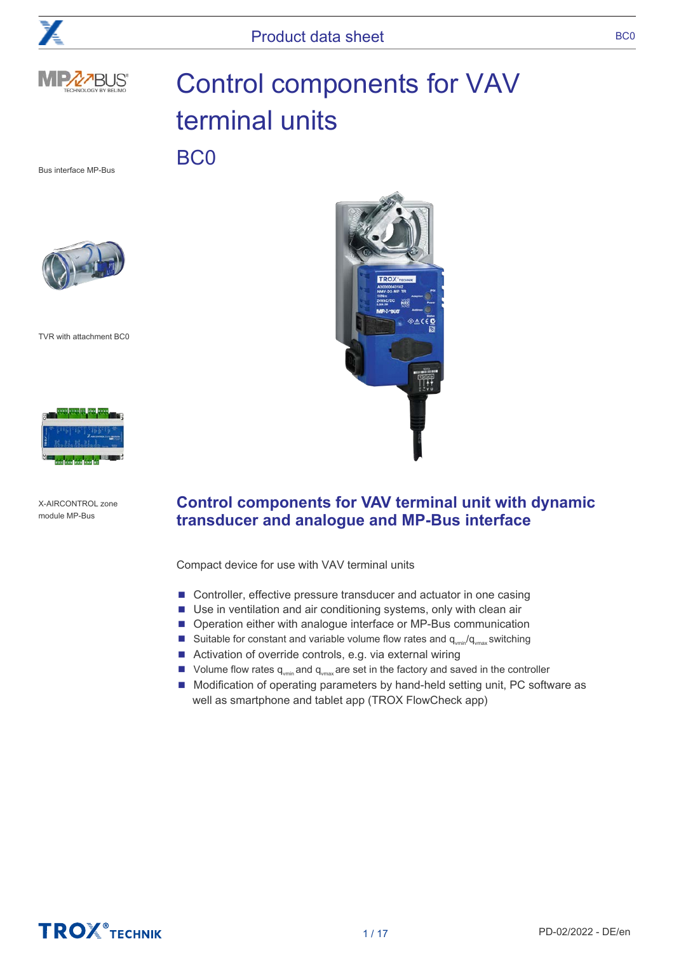





# Control components for VAV terminal units

Bus interface MP-Bus

BC0



TVR with attachment BC0



X-AIRCONTROL zone module MP-Bus



# **Control components for VAV terminal unit with dynamic transducer and analogue and MP-Bus interface**

Compact device for use with VAV terminal units

- Controller, effective pressure transducer and actuator in one casing
- Use in ventilation and air conditioning systems, only with clean air
- Operation either with analogue interface or MP-Bus communication
- Suitable for constant and variable volume flow rates and  $q_{\text{win}}/q_{\text{win}}$  switching
- Activation of override controls, e.g. via external wiring
- Volume flow rates  $q_{\text{win}}$  and  $q_{\text{win}}$  are set in the factory and saved in the controller
- Modification of operating parameters by hand-held setting unit, PC software as well as smartphone and tablet app (TROX FlowCheck app)

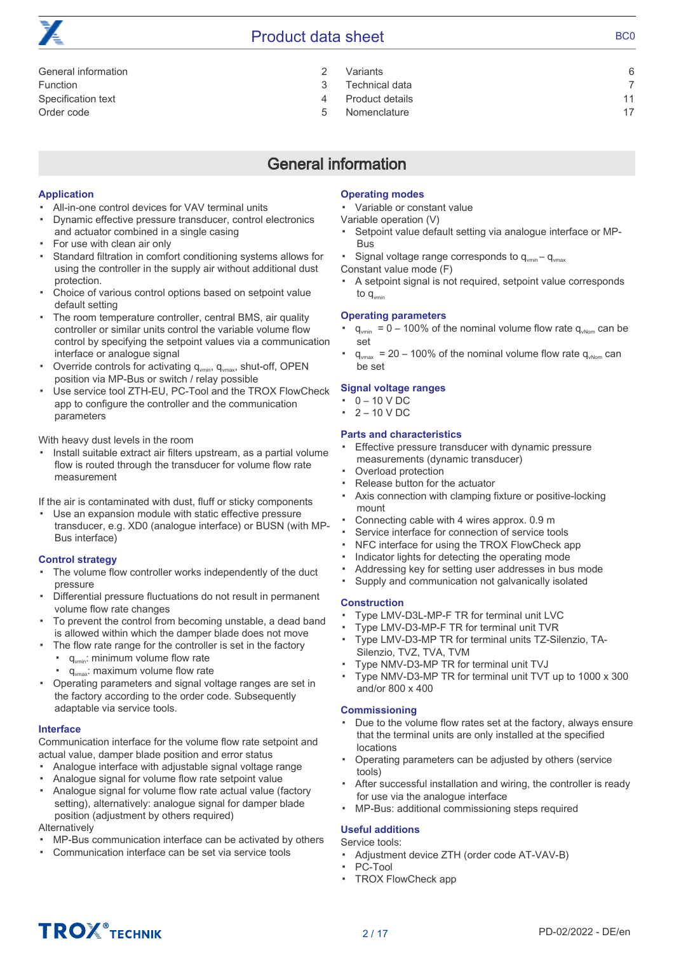# Product data sheet BC0

[General information 2](#page-1-0) [Function 3](#page-2-0) [Specification text 4](#page-3-0) [Order code 5](#page-4-0)

| Variants        | 6  |
|-----------------|----|
| Technical data  |    |
| Product details | 11 |

[Nomenclature 17](#page-16-0)

# General information

# <span id="page-1-0"></span>**Application**

- All-in-one control devices for VAV terminal units
- Dynamic effective pressure transducer, control electronics and actuator combined in a single casing
- For use with clean air only
- Standard filtration in comfort conditioning systems allows for using the controller in the supply air without additional dust protection.
- Choice of various control options based on setpoint value default setting
- The room temperature controller, central BMS, air quality controller or similar units control the variable volume flow control by specifying the setpoint values via a communication interface or analogue signal
- Override controls for activating  $q_{\text{win}}$ ,  $q_{\text{win}}$ , shut-off, OPEN position via MP-Bus or switch / relay possible
- Use service tool ZTH-EU, PC-Tool and the TROX FlowCheck app to configure the controller and the communication parameters

# With heavy dust levels in the room

▪ Install suitable extract air filters upstream, as a partial volume flow is routed through the transducer for volume flow rate measurement

If the air is contaminated with dust, fluff or sticky components

▪ Use an expansion module with static effective pressure transducer, e.g. XD0 (analogue interface) or BUSN (with MP-Bus interface)

# **Control strategy**

- The volume flow controller works independently of the duct pressure
- Differential pressure fluctuations do not result in permanent volume flow rate changes
- To prevent the control from becoming unstable, a dead band is allowed within which the damper blade does not move
- The flow rate range for the controller is set in the factory
	- q<sub>vmin</sub>: minimum volume flow rate
	- q<sub>vmax</sub>: maximum volume flow rate
- Operating parameters and signal voltage ranges are set in the factory according to the order code. Subsequently adaptable via service tools.

# **Interface**

Communication interface for the volume flow rate setpoint and actual value, damper blade position and error status

- Analogue interface with adjustable signal voltage range
- Analogue signal for volume flow rate setpoint value
- Analogue signal for volume flow rate actual value (factory setting), alternatively: analogue signal for damper blade position (adjustment by others required)

Alternatively

- MP-Bus communication interface can be activated by others
- Communication interface can be set via service tools

# **Operating modes**

▪ Variable or constant value

Variable operation (V)

- Setpoint value default setting via analogue interface or MP-Bus
- Signal voltage range corresponds to  $q_{\text{win}} - q_{\text{win}}$
- Constant value mode (F)
- A setpoint signal is not required, setpoint value corresponds to  $q_{\text{vmin}}$

# **Operating parameters**

- $q_{\text{win}} = 0 - 100\%$  of the nominal volume flow rate  $q_{\text{win}}$  can be set
- $q_{\text{max}}$  = 20 – 100% of the nominal volume flow rate  $q_{\text{when}}$  can be set

# **Signal voltage ranges**

- $\cdot$  0 10 V DC
- $\cdot$  2 10 V DC

# **Parts and characteristics**

- Effective pressure transducer with dynamic pressure measurements (dynamic transducer)
- Overload protection
- Release button for the actuator
- Axis connection with clamping fixture or positive-locking mount
- Connecting cable with 4 wires approx. 0.9 m
- Service interface for connection of service tools
- NFC interface for using the TROX FlowCheck app
- Indicator lights for detecting the operating mode
- Addressing key for setting user addresses in bus mode
- Supply and communication not galvanically isolated

# **Construction**

- Type LMV-D3L-MP-F TR for terminal unit LVC
- Type LMV-D3-MP-F TR for terminal unit TVR
- Type LMV-D3-MP TR for terminal units TZ-Silenzio, TA-Silenzio, TVZ, TVA, TVM
- Type NMV-D3-MP TR for terminal unit TVJ
- Type NMV-D3-MP TR for terminal unit TVT up to 1000 x 300 and/or 800 x 400

# **Commissioning**

- Due to the volume flow rates set at the factory, always ensure that the terminal units are only installed at the specified locations
- Operating parameters can be adjusted by others (service tools)
- After successful installation and wiring, the controller is ready for use via the analogue interface
- MP-Bus: additional commissioning steps required

# **Useful additions**

Service tools:

- Adjustment device ZTH (order code AT-VAV-B)
- PC-Tool
- TROX FlowCheck app

# **TROX**<sup>®</sup>TECHNIK

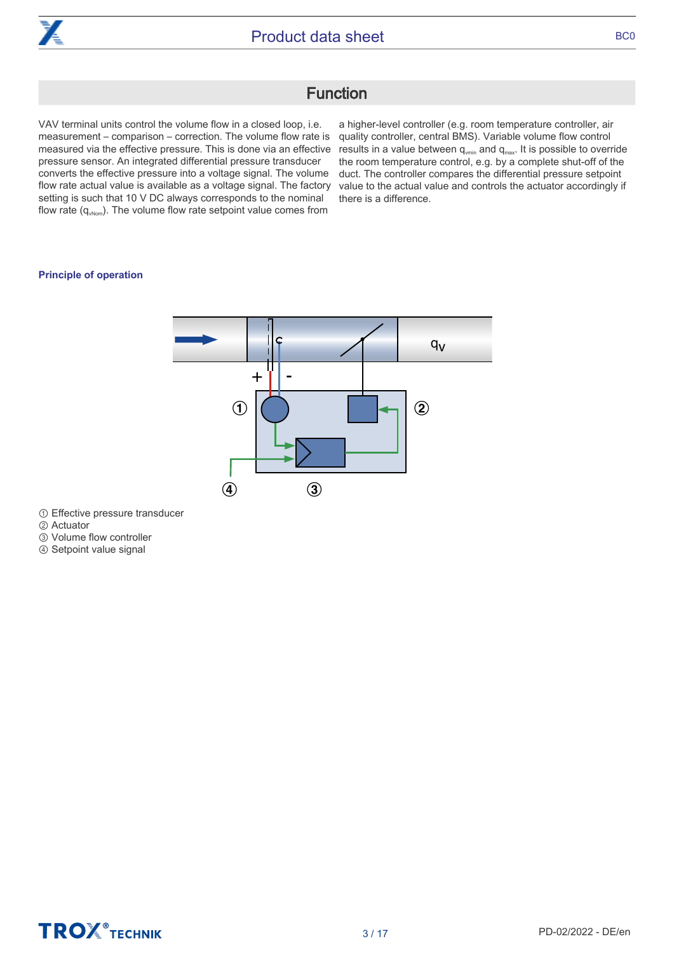

# Function

<span id="page-2-0"></span>VAV terminal units control the volume flow in a closed loop, i.e. measurement – comparison – correction. The volume flow rate is measured via the effective pressure. This is done via an effective pressure sensor. An integrated differential pressure transducer converts the effective pressure into a voltage signal. The volume flow rate actual value is available as a voltage signal. The factory setting is such that 10 V DC always corresponds to the nominal flow rate  $(q_{\text{vNorm}})$ . The volume flow rate setpoint value comes from

a higher-level controller (e.g. room temperature controller, air quality controller, central BMS). Variable volume flow control results in a value between  $q_{\text{vmin}}$  and  $q_{\text{max}}$ . It is possible to override the room temperature control, e.g. by a complete shut-off of the duct. The controller compares the differential pressure setpoint value to the actual value and controls the actuator accordingly if there is a difference.

# **Principle of operation**



① Effective pressure transducer

- ② Actuator
- ③ Volume flow controller

④ Setpoint value signal

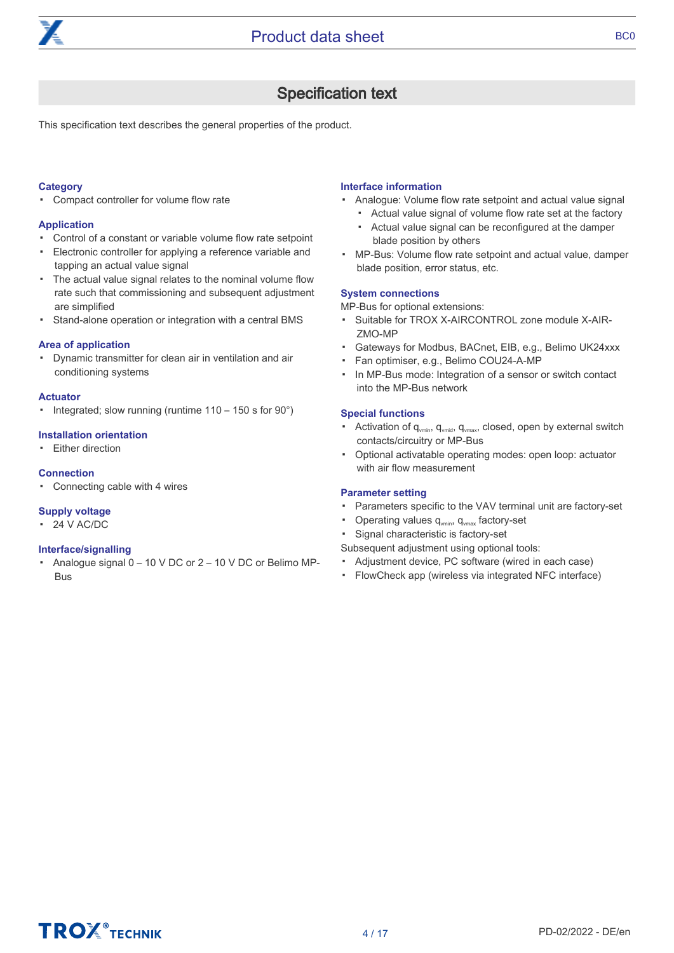

# Specification text

<span id="page-3-0"></span>This specification text describes the general properties of the product.

# **Category**

▪ Compact controller for volume flow rate

# **Application**

- Control of a constant or variable volume flow rate setpoint
- Electronic controller for applying a reference variable and tapping an actual value signal
- The actual value signal relates to the nominal volume flow rate such that commissioning and subsequent adjustment are simplified
- Stand-alone operation or integration with a central BMS

#### **Area of application**

▪ Dynamic transmitter for clean air in ventilation and air conditioning systems

#### **Actuator**

▪ Integrated; slow running (runtime 110 – 150 s for 90°)

# **Installation orientation**

▪ Either direction

# **Connection**

▪ Connecting cable with 4 wires

# **Supply voltage**

▪ 24 V AC/DC

# **Interface/signalling**

▪ Analogue signal 0 – 10 V DC or 2 – 10 V DC or Belimo MP-Bus

# **Interface information**

- Analogue: Volume flow rate setpoint and actual value signal
	- ▪ Actual value signal of volume flow rate set at the factory Actual value signal can be reconfigured at the damper blade position by others
- MP-Bus: Volume flow rate setpoint and actual value, damper blade position, error status, etc.

#### **System connections**

MP-Bus for optional extensions:

- Suitable for TROX X-AIRCONTROL zone module X-AIR-ZMO-MP
- Gateways for Modbus, BACnet, EIB, e.g., Belimo UK24xxx
- Fan optimiser, e.g., Belimo COU24-A-MP
- In MP-Bus mode: Integration of a sensor or switch contact into the MP-Bus network

# **Special functions**

- Activation of q<sub>vmin</sub>, q<sub>vmid</sub>, q<sub>vmax</sub>, closed, open by external switch contacts/circuitry or MP-Bus
- Optional activatable operating modes: open loop: actuator with air flow measurement

# **Parameter setting**

- Parameters specific to the VAV terminal unit are factory-set
- Operating values  $q_{vmin}$ ,  $q_{vmax}$  factory-set
- Signal characteristic is factory-set
- Subsequent adjustment using optional tools:
- Adjustment device, PC software (wired in each case)
- FlowCheck app (wireless via integrated NFC interface)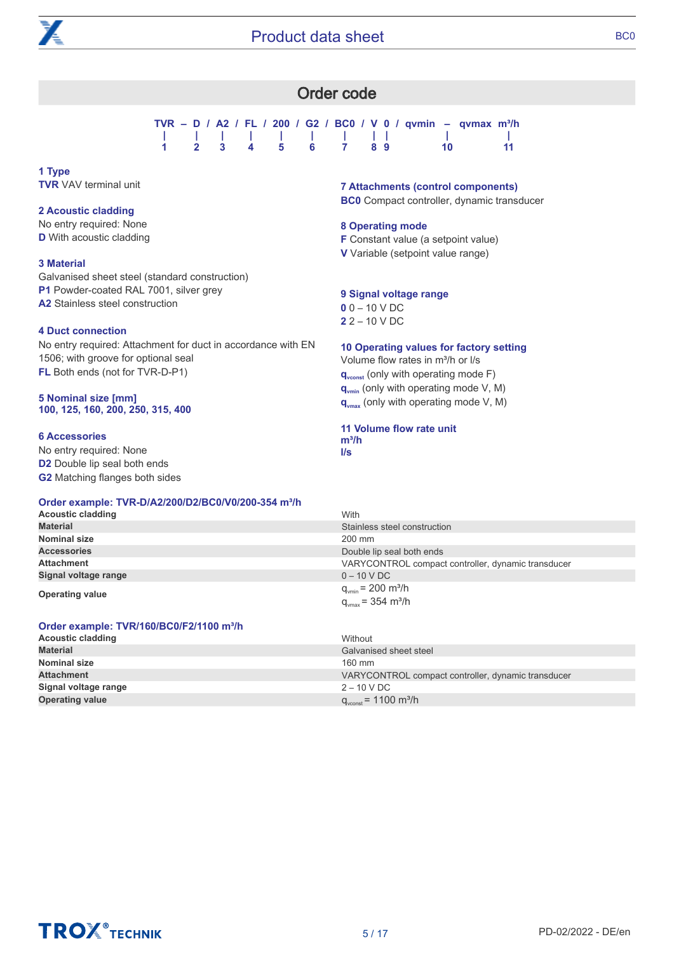<span id="page-4-0"></span>

|                   |  |  |  |  |           | TVR – D / A2 / FL / 200 / G2 / BC0 / V 0 / qvmin – qvmax m <sup>3</sup> /h |
|-------------------|--|--|--|--|-----------|----------------------------------------------------------------------------|
|                   |  |  |  |  |           |                                                                            |
| 1 2 3 4 5 6 7 8 9 |  |  |  |  | $\sim$ 10 |                                                                            |

# **1 Type TVR** VAV terminal unit

# **2 Acoustic cladding**

No entry required: None **D** With acoustic cladding

# **3 Material**

Galvanised sheet steel (standard construction) **P1** Powder-coated RAL 7001, silver grey **A2** Stainless steel construction

# **4 Duct connection**

No entry required: Attachment for duct in accordance with EN 1506; with groove for optional seal **FL** Both ends (not for TVR-D-P1)

#### **5 Nominal size [mm] 100, 125, 160, 200, 250, 315, 400**

# **6 Accessories**

No entry required: None **D2** Double lip seal both ends **G2** Matching flanges both sides

# **Order example: TVR-D/A2/200/D2/BC0/V0/200-354 m³/h**

# **Acoustic cladding** With **Material** Stainless steel construction **Nominal size** 200 mm<br> **Accessories** 200 mm<br> **Accessories** 200 mm **Accessories Accessories Double lip seal both ends**<br> **Attachment Double lip seal both ends**<br> **Double lip seal both ends** VARYCONTROL compact controller, dynamic transducer **Signal voltage range** 0 – 10 V DC **Operating value operating value operating value operating value operating value operation**  $q_{\text{vmax}} = 354 \text{ m}^3/\text{h}$

**Order example: TVR/160/BC0/F2/1100 m³/h**

| <b>Acoustic cladding</b> | Without                                            |
|--------------------------|----------------------------------------------------|
| <b>Material</b>          | Galvanised sheet steel                             |
| <b>Nominal size</b>      | 160 mm                                             |
| <b>Attachment</b>        | VARYCONTROL compact controller, dynamic transducer |
| Signal voltage range     | $2 - 10$ V DC                                      |
| <b>Operating value</b>   | $q_{\text{vconst}}$ = 1100 m <sup>3</sup> /h       |

# **7 Attachments (control components)**

**BC0** Compact controller, dynamic transducer

# **8 Operating mode**

**F** Constant value (a setpoint value)

**V** Variable (setpoint value range)

# **9 Signal voltage range**

**0** 0 – 10 V DC **2** 2 – 10 V DC

**10 Operating values for factory setting**

Volume flow rates in m<sup>3</sup>/h or I/s **q**<sub>vconst</sub> (only with operating mode F) **qvmin** (only with operating mode V, M) **qvmax** (only with operating mode V, M)

#### **11 Volume flow rate unit m³/h l/s**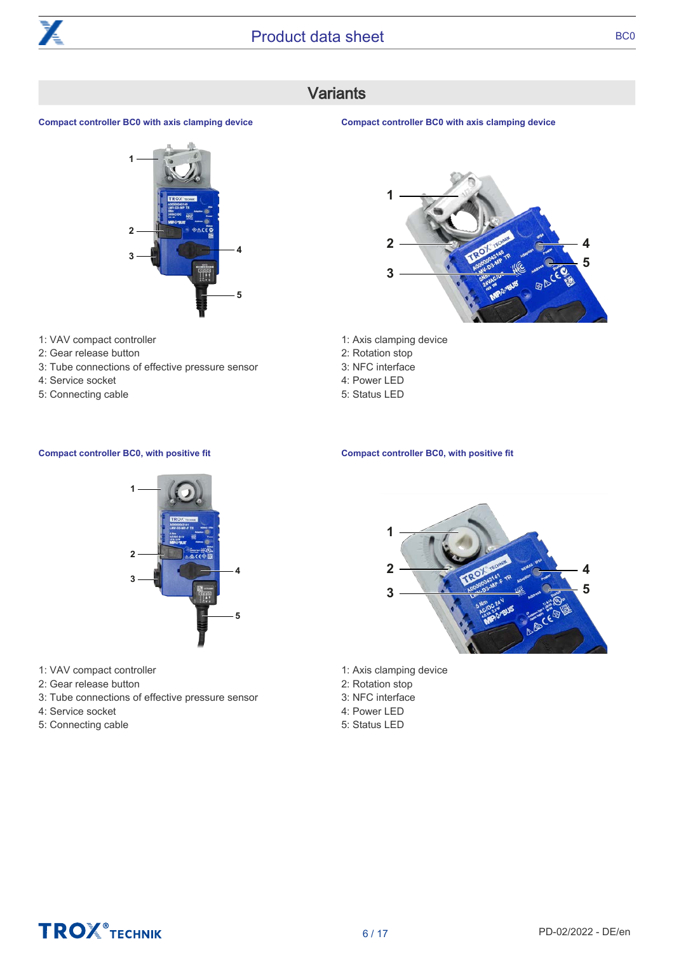

# Variants

# <span id="page-5-0"></span>**Compact controller BC0 with axis clamping device**



- 1: VAV compact controller
- 2: Gear release button
- 3: Tube connections of effective pressure sensor
- 4: Service socket
- 5: Connecting cable

### **Compact controller BC0 with axis clamping device**



- 1: Axis clamping device
- 2: Rotation stop
- 3: NFC interface
- 4: Power LED
- 5: Status LED

### **Compact controller BC0, with positive fit**



- 1: Axis clamping device
- 2: Rotation stop
- 3: NFC interface
- 4: Power LED
- 5: Status LED

### **Compact controller BC0, with positive fit**



- 1: VAV compact controller
- 2: Gear release button
- 3: Tube connections of effective pressure sensor
- 4: Service socket
- 5: Connecting cable

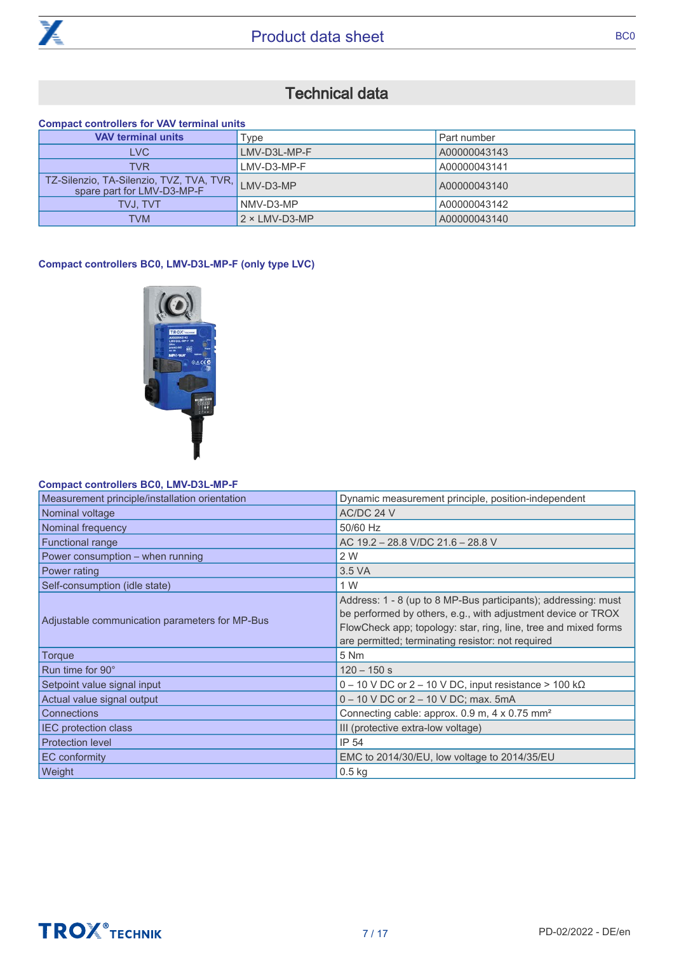

# Technical data

# <span id="page-6-0"></span>**Compact controllers for VAV terminal units**

| <b>VAV terminal units</b>                                                | Type                  | Part number  |
|--------------------------------------------------------------------------|-----------------------|--------------|
| <b>LVC</b>                                                               | LMV-D3L-MP-F          | A00000043143 |
| <b>TVR</b>                                                               | LMV-D3-MP-F           | A00000043141 |
| TZ-Silenzio, TA-Silenzio, TVZ, TVA, TVR, I<br>spare part for LMV-D3-MP-F | LMV-D3-MP             | A00000043140 |
| <b>TVJ. TVT</b>                                                          | NMV-D3-MP             | A00000043142 |
| <b>TVM</b>                                                               | $2 \times LMV$ -D3-MP | A00000043140 |

# **Compact controllers BC0, LMV-D3L-MP-F (only type LVC)**



# **Compact controllers BC0, LMV-D3L-MP-F**

| Dynamic measurement principle, position-independent                                                                                                                                                                                                    |
|--------------------------------------------------------------------------------------------------------------------------------------------------------------------------------------------------------------------------------------------------------|
| AC/DC 24 V                                                                                                                                                                                                                                             |
| 50/60 Hz                                                                                                                                                                                                                                               |
| AC 19.2 - 28.8 V/DC 21.6 - 28.8 V                                                                                                                                                                                                                      |
| 2 W                                                                                                                                                                                                                                                    |
| 3.5 VA                                                                                                                                                                                                                                                 |
| 1 W                                                                                                                                                                                                                                                    |
| Address: 1 - 8 (up to 8 MP-Bus participants); addressing: must<br>be performed by others, e.g., with adjustment device or TROX<br>FlowCheck app; topology: star, ring, line, tree and mixed forms<br>are permitted; terminating resistor: not required |
| 5 Nm                                                                                                                                                                                                                                                   |
| $120 - 150$ s                                                                                                                                                                                                                                          |
| $0 - 10$ V DC or 2 – 10 V DC, input resistance > 100 k $\Omega$                                                                                                                                                                                        |
| 0 - 10 V DC or 2 - 10 V DC; max. 5mA                                                                                                                                                                                                                   |
| Connecting cable: approx. 0.9 m, 4 x 0.75 mm <sup>2</sup>                                                                                                                                                                                              |
| III (protective extra-low voltage)                                                                                                                                                                                                                     |
| IP 54                                                                                                                                                                                                                                                  |
| EMC to 2014/30/EU, low voltage to 2014/35/EU                                                                                                                                                                                                           |
| $0.5$ kg                                                                                                                                                                                                                                               |
|                                                                                                                                                                                                                                                        |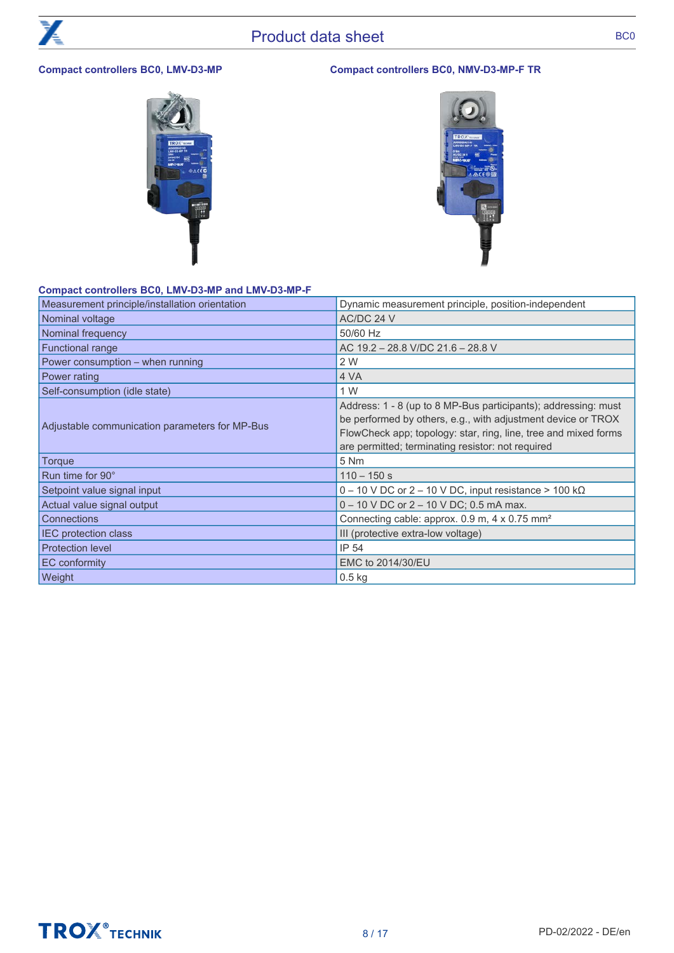# **Compact controllers BC0, LMV-D3-MP Compact controllers BC0, NMV-D3-MP-F TR**



# **Compact controllers BC0, LMV-D3-MP and LMV-D3-MP-F**

| Measurement principle/installation orientation | Dynamic measurement principle, position-independent                                                                                                                                                                                                    |
|------------------------------------------------|--------------------------------------------------------------------------------------------------------------------------------------------------------------------------------------------------------------------------------------------------------|
| Nominal voltage                                | AC/DC 24 V                                                                                                                                                                                                                                             |
| Nominal frequency                              | 50/60 Hz                                                                                                                                                                                                                                               |
| Functional range                               | AC 19.2 - 28.8 V/DC 21.6 - 28.8 V                                                                                                                                                                                                                      |
| Power consumption - when running               | 2 W                                                                                                                                                                                                                                                    |
| Power rating                                   | 4 VA                                                                                                                                                                                                                                                   |
| Self-consumption (idle state)                  | 1 W                                                                                                                                                                                                                                                    |
| Adjustable communication parameters for MP-Bus | Address: 1 - 8 (up to 8 MP-Bus participants); addressing: must<br>be performed by others, e.g., with adjustment device or TROX<br>FlowCheck app; topology: star, ring, line, tree and mixed forms<br>are permitted; terminating resistor: not required |
| <b>Torque</b>                                  | 5 Nm                                                                                                                                                                                                                                                   |
| Run time for 90°                               | $110 - 150$ s                                                                                                                                                                                                                                          |
| Setpoint value signal input                    | $0 - 10$ V DC or 2 – 10 V DC, input resistance > 100 k $\Omega$                                                                                                                                                                                        |
| Actual value signal output                     | 0 - 10 V DC or 2 - 10 V DC; 0.5 mA max.                                                                                                                                                                                                                |
| Connections                                    | Connecting cable: approx. 0.9 m, 4 x 0.75 mm <sup>2</sup>                                                                                                                                                                                              |
| <b>IEC protection class</b>                    | III (protective extra-low voltage)                                                                                                                                                                                                                     |
| <b>Protection level</b>                        | IP 54                                                                                                                                                                                                                                                  |
| EC conformity                                  | EMC to 2014/30/EU                                                                                                                                                                                                                                      |
| Weight                                         | $0.5$ kg                                                                                                                                                                                                                                               |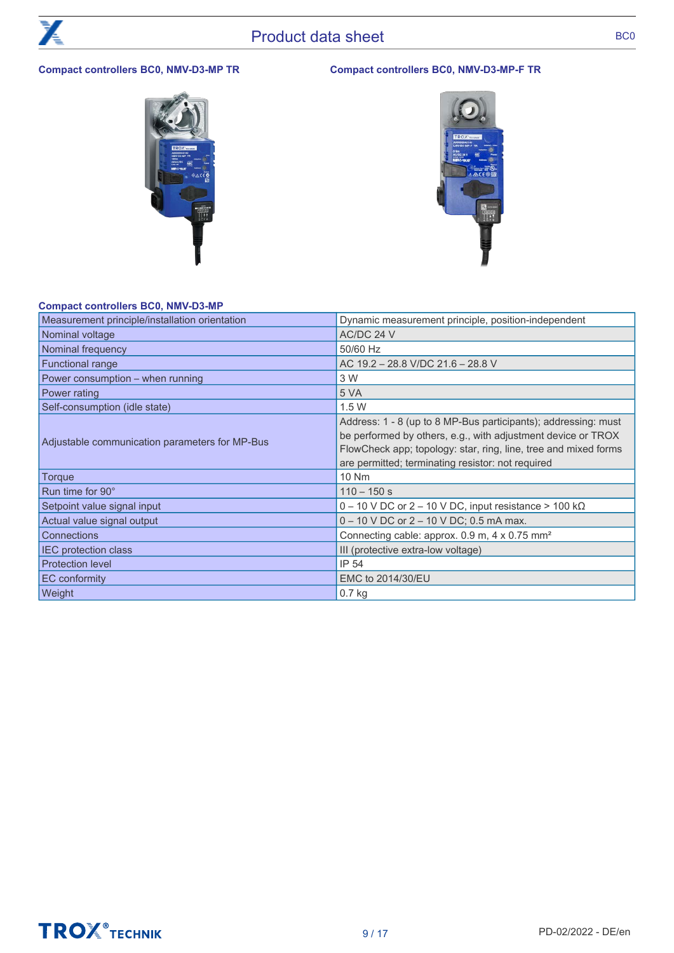# **Compact controllers BC0, NMV-D3-MP TR Compact controllers BC0, NMV-D3-MP-F TR**



# **Compact controllers BC0, NMV-D3-MP**

**TROX** TECHNIK

| Measurement principle/installation orientation | Dynamic measurement principle, position-independent                                                                                                                                                                                                    |
|------------------------------------------------|--------------------------------------------------------------------------------------------------------------------------------------------------------------------------------------------------------------------------------------------------------|
| Nominal voltage                                | AC/DC 24 V                                                                                                                                                                                                                                             |
| Nominal frequency                              | 50/60 Hz                                                                                                                                                                                                                                               |
| <b>Functional range</b>                        | AC 19.2 - 28.8 V/DC 21.6 - 28.8 V                                                                                                                                                                                                                      |
| Power consumption - when running               | 3 W                                                                                                                                                                                                                                                    |
| Power rating                                   | 5 VA                                                                                                                                                                                                                                                   |
| Self-consumption (idle state)                  | 1.5W                                                                                                                                                                                                                                                   |
| Adjustable communication parameters for MP-Bus | Address: 1 - 8 (up to 8 MP-Bus participants); addressing: must<br>be performed by others, e.g., with adjustment device or TROX<br>FlowCheck app; topology: star, ring, line, tree and mixed forms<br>are permitted; terminating resistor: not required |
| Torque                                         | <b>10 Nm</b>                                                                                                                                                                                                                                           |
| Run time for 90°                               | $110 - 150$ s                                                                                                                                                                                                                                          |
| Setpoint value signal input                    | $0 - 10$ V DC or 2 – 10 V DC, input resistance > 100 k $\Omega$                                                                                                                                                                                        |
| Actual value signal output                     | 0 - 10 V DC or 2 - 10 V DC; 0.5 mA max.                                                                                                                                                                                                                |
| Connections                                    | Connecting cable: approx. 0.9 m, 4 x 0.75 mm <sup>2</sup>                                                                                                                                                                                              |
| <b>IEC protection class</b>                    | III (protective extra-low voltage)                                                                                                                                                                                                                     |
| <b>Protection level</b>                        | IP 54                                                                                                                                                                                                                                                  |
| <b>EC</b> conformity                           | EMC to 2014/30/EU                                                                                                                                                                                                                                      |
| Weight                                         | $0.7$ kg                                                                                                                                                                                                                                               |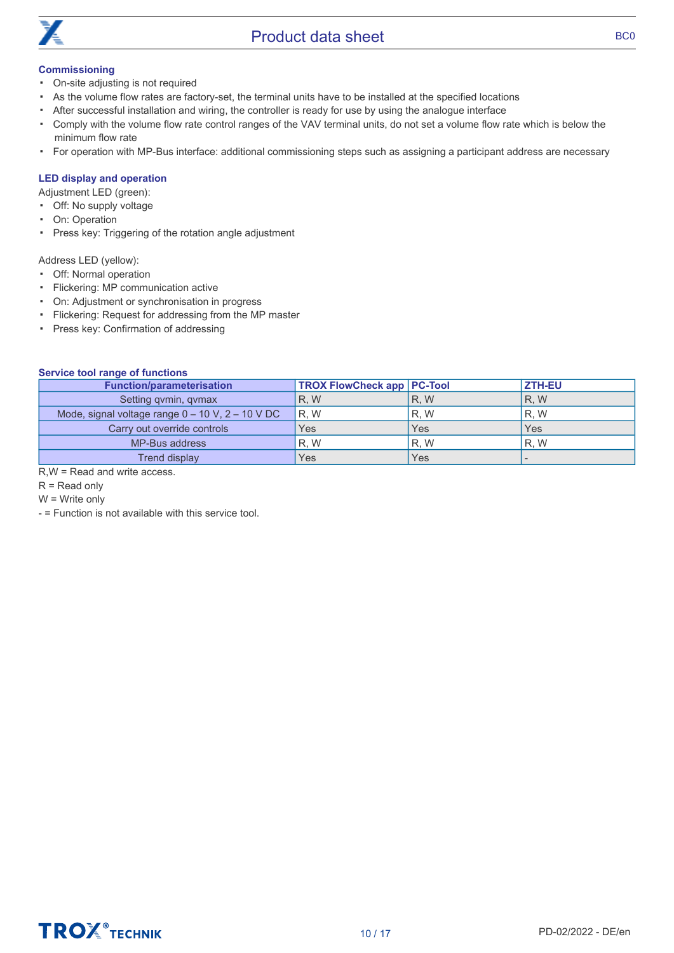

# **Commissioning**

- On-site adjusting is not required
- As the volume flow rates are factory-set, the terminal units have to be installed at the specified locations
- After successful installation and wiring, the controller is ready for use by using the analogue interface
- Comply with the volume flow rate control ranges of the VAV terminal units, do not set a volume flow rate which is below the minimum flow rate
- For operation with MP-Bus interface: additional commissioning steps such as assigning a participant address are necessary

# **LED display and operation**

Adjustment LED (green):

- Off: No supply voltage
- On: Operation
- Press key: Triggering of the rotation angle adjustment

Address LED (yellow):

- Off: Normal operation
- Flickering: MP communication active
- On: Adjustment or synchronisation in progress
- Flickering: Request for addressing from the MP master
- Press key: Confirmation of addressing

# **Service tool range of functions**

| <b>Function/parameterisation</b>                     | <b>TROX FlowCheck app   PC-Tool</b> |     | <b>ZTH-EU</b> |
|------------------------------------------------------|-------------------------------------|-----|---------------|
| Setting qvmin, qvmax                                 | R.W                                 | R.W | <b>R.W</b>    |
| Mode, signal voltage range $0 - 10$ V, $2 - 10$ V DC | R.W                                 | R.W | R.W           |
| Carry out override controls                          | Yes                                 | Yes | Yes           |
| MP-Bus address                                       | R.W                                 | R.W | R.W           |
| Trend display                                        | Yes                                 | Yes |               |

R,W = Read and write access.

R = Read only

W = Write only

- = Function is not available with this service tool.

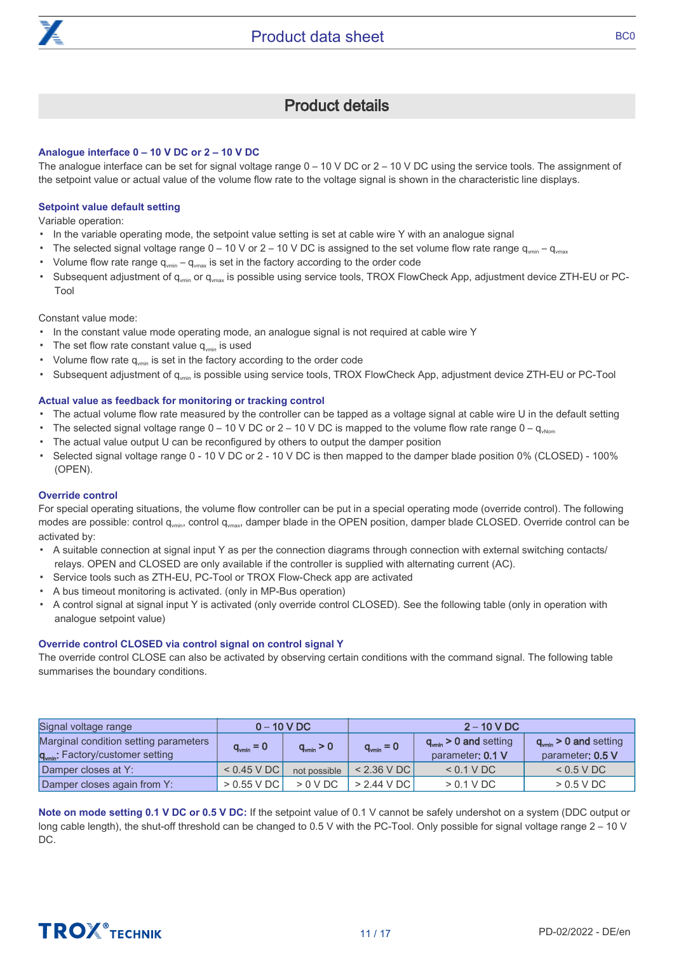

# Product details

# <span id="page-10-0"></span>**Analogue interface 0 – 10 V DC or 2 – 10 V DC**

The analogue interface can be set for signal voltage range 0 – 10 V DC or 2 – 10 V DC using the service tools. The assignment of the setpoint value or actual value of the volume flow rate to the voltage signal is shown in the characteristic line displays.

# **Setpoint value default setting**

Variable operation:

- In the variable operating mode, the setpoint value setting is set at cable wire Y with an analogue signal
- The selected signal voltage range  $0 - 10$  V or  $2 - 10$  V DC is assigned to the set volume flow rate range  $q_{vmin} - q_{vmax}$
- Volume flow rate range  $q_{\text{vmin}} q_{\text{vmax}}$  is set in the factory according to the order code
- Subsequent adjustment of q<sub>vmin</sub> or q<sub>vmax</sub> is possible using service tools, TROX FlowCheck App, adjustment device ZTH-EU or PC-Tool

Constant value mode:

- **In the constant value mode operating mode, an analogue signal is not required at cable wire Y**
- The set flow rate constant value  $q_{\text{vmin}}$  is used
- Volume flow rate  $q_{\text{win}}$  is set in the factory according to the order code
- Subsequent adjustment of q<sub>vmin</sub> is possible using service tools, TROX FlowCheck App, adjustment device ZTH-EU or PC-Tool

# **Actual value as feedback for monitoring or tracking control**

- The actual volume flow rate measured by the controller can be tapped as a voltage signal at cable wire U in the default setting
- The selected signal voltage range  $0 10$  V DC or 2 10 V DC is mapped to the volume flow rate range  $0 q_{\text{www}}$
- The actual value output U can be reconfigured by others to output the damper position
- Selected signal voltage range 0 - 10 V DC or 2 - 10 V DC is then mapped to the damper blade position 0% (CLOSED) - 100% (OPEN).

#### **Override control**

For special operating situations, the volume flow controller can be put in a special operating mode (override control). The following modes are possible: control  $q_{\text{wmin}}$ , control  $q_{\text{wmax}}$ , damper blade in the OPEN position, damper blade CLOSED. Override control can be activated by:

- A suitable connection at signal input Y as per the connection diagrams through connection with external switching contacts/ relays. OPEN and CLOSED are only available if the controller is supplied with alternating current (AC).
- Service tools such as ZTH-EU, PC-Tool or TROX Flow-Check app are activated
- A bus timeout monitoring is activated. (only in MP-Bus operation)
- A control signal at signal input Y is activated (only override control CLOSED). See the following table (only in operation with analogue setpoint value)

# **Override control CLOSED via control signal on control signal Y**

The override control CLOSE can also be activated by observing certain conditions with the command signal. The following table summarises the boundary conditions.

| Signal voltage range                                                                  |                      | $0 - 10 VDC$         | $2 - 10$ V DC        |                                                      |                                                      |
|---------------------------------------------------------------------------------------|----------------------|----------------------|----------------------|------------------------------------------------------|------------------------------------------------------|
| Marginal condition setting parameters<br>q <sub>vmin</sub> : Factory/customer setting | $q_{\text{min}} = 0$ | $q_{\text{min}} > 0$ | $q_{\text{min}} = 0$ | $q_{\text{win}} > 0$ and setting<br>parameter: 0.1 V | $q_{\text{min}}$ > 0 and setting<br>parameter: 0.5 V |
| Damper closes at Y:                                                                   | $<$ 0.45 V DC        | not possible         | $< 2.36$ V DC        | < 0.1 VDC                                            | $< 0.5$ V DC                                         |
| Damper closes again from Y:                                                           | $> 0.55$ V DC        | $>0$ V DC            | $> 2.44$ V DC        | $> 0.1$ V DC                                         | $> 0.5$ V DC                                         |

**Note on mode setting 0.1 V DC or 0.5 V DC:** If the setpoint value of 0.1 V cannot be safely undershot on a system (DDC output or long cable length), the shut-off threshold can be changed to 0.5 V with the PC-Tool. Only possible for signal voltage range 2 – 10 V DC.

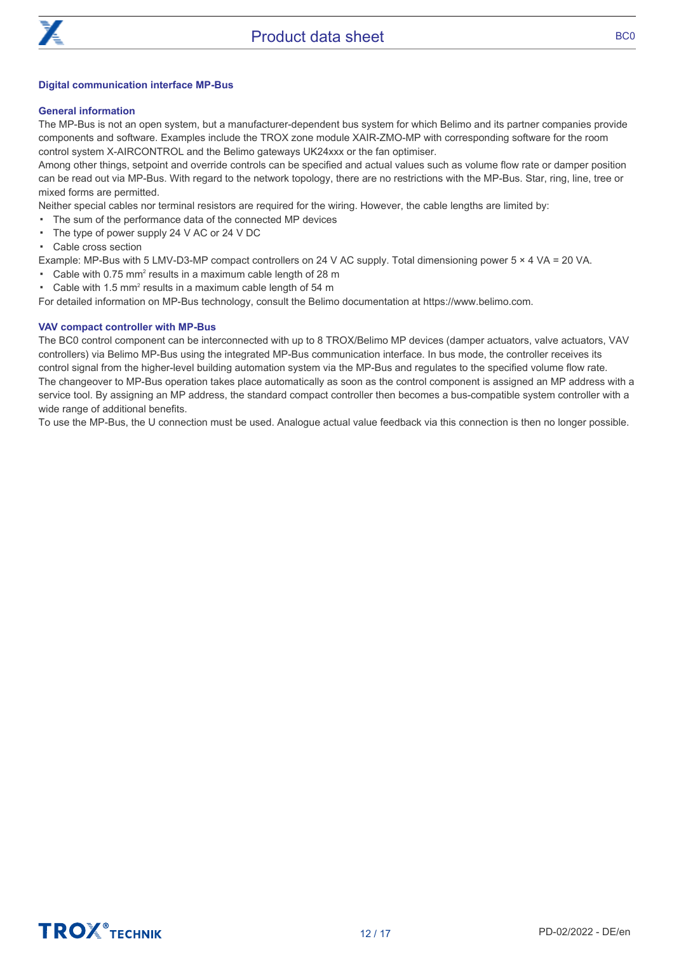

# **Digital communication interface MP-Bus**

# **General information**

The MP-Bus is not an open system, but a manufacturer-dependent bus system for which Belimo and its partner companies provide components and software. Examples include the TROX zone module XAIR-ZMO-MP with corresponding software for the room control system X-AIRCONTROL and the Belimo gateways UK24xxx or the fan optimiser.

Among other things, setpoint and override controls can be specified and actual values such as volume flow rate or damper position can be read out via MP-Bus. With regard to the network topology, there are no restrictions with the MP-Bus. Star, ring, line, tree or mixed forms are permitted.

Neither special cables nor terminal resistors are required for the wiring. However, the cable lengths are limited by:

- The sum of the performance data of the connected MP devices
- The type of power supply 24 V AC or 24 V DC
- Cable cross section

Example: MP-Bus with 5 LMV-D3-MP compact controllers on 24 V AC supply. Total dimensioning power 5 × 4 VA = 20 VA.

- Cable with  $0.75$  mm<sup>2</sup> results in a maximum cable length of 28 m
- Cable with 1.5  $mm<sup>2</sup>$  results in a maximum cable length of 54 m

For detailed information on MP-Bus technology, consult the Belimo documentation at https://www.belimo.com.

# **VAV compact controller with MP-Bus**

The BC0 control component can be interconnected with up to 8 TROX/Belimo MP devices (damper actuators, valve actuators, VAV controllers) via Belimo MP-Bus using the integrated MP-Bus communication interface. In bus mode, the controller receives its control signal from the higher-level building automation system via the MP-Bus and regulates to the specified volume flow rate. The changeover to MP-Bus operation takes place automatically as soon as the control component is assigned an MP address with a service tool. By assigning an MP address, the standard compact controller then becomes a bus-compatible system controller with a wide range of additional benefits.

To use the MP-Bus, the U connection must be used. Analogue actual value feedback via this connection is then no longer possible.

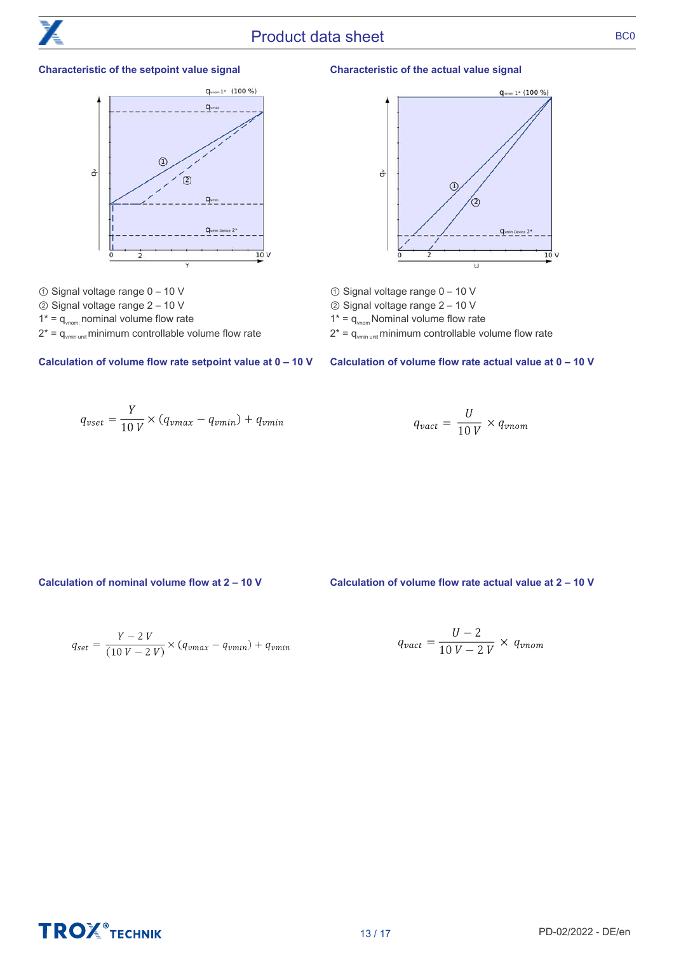

# Product data sheet BC0

# **Characteristic of the setpoint value signal**



- ① Signal voltage range 0 10 V
- ② Signal voltage range 2 10 V
- $1^* = q_{\text{vnom}}$  nominal volume flow rate
- $2^* = q_{\text{vmin unit}}$  minimum controllable volume flow rate

$$
q_{vset} = \frac{Y}{10 V} \times (q_{vmax} - q_{vmin}) + q_{vmin}
$$





- ① Signal voltage range 0 10 V
- ② Signal voltage range 2 10 V
- $1^* = q_{\text{vnom}}$  Nominal volume flow rate
- $2^* = q_{\text{win unit}}$  minimum controllable volume flow rate

**Calculation of volume flow rate setpoint value at 0 – 10 V Calculation of volume flow rate actual value at 0 – 10 V**

$$
q_{\text{vact}} = \frac{U}{10 V} \times q_{\text{vnom}}
$$

**Calculation of nominal volume flow at 2 – 10 V Calculation of volume flow rate actual value at 2 – 10 V**

$$
q_{set} = \frac{Y - 2 V}{(10 V - 2 V)} \times (q_{vmax} - q_{vmin}) + q_{vmin}
$$

$$
q_{\text{vact}} = \frac{U - 2}{10 V - 2 V} \times q_{\text{vnom}}
$$

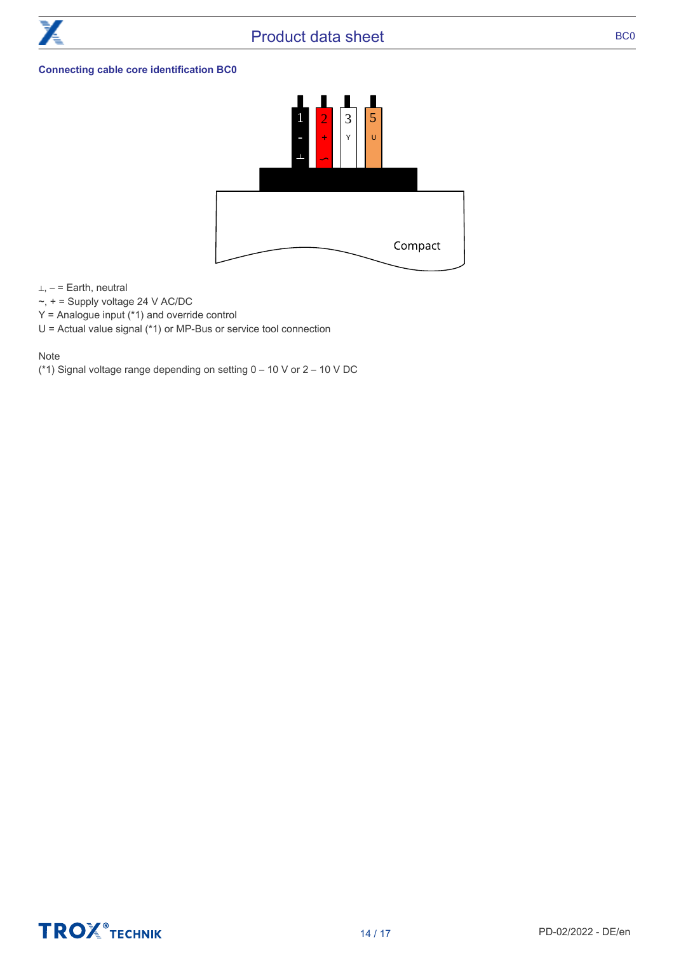

# **Connecting cable core identification BC0**



⊥, – = Earth, neutral

- $\sim$ ,  $+$  = Supply voltage 24 V AC/DC
- Y = Analogue input (\*1) and override control
- U = Actual value signal (\*1) or MP-Bus or service tool connection

# Note

(\*1) Signal voltage range depending on setting 0 – 10 V or 2 – 10 V DC

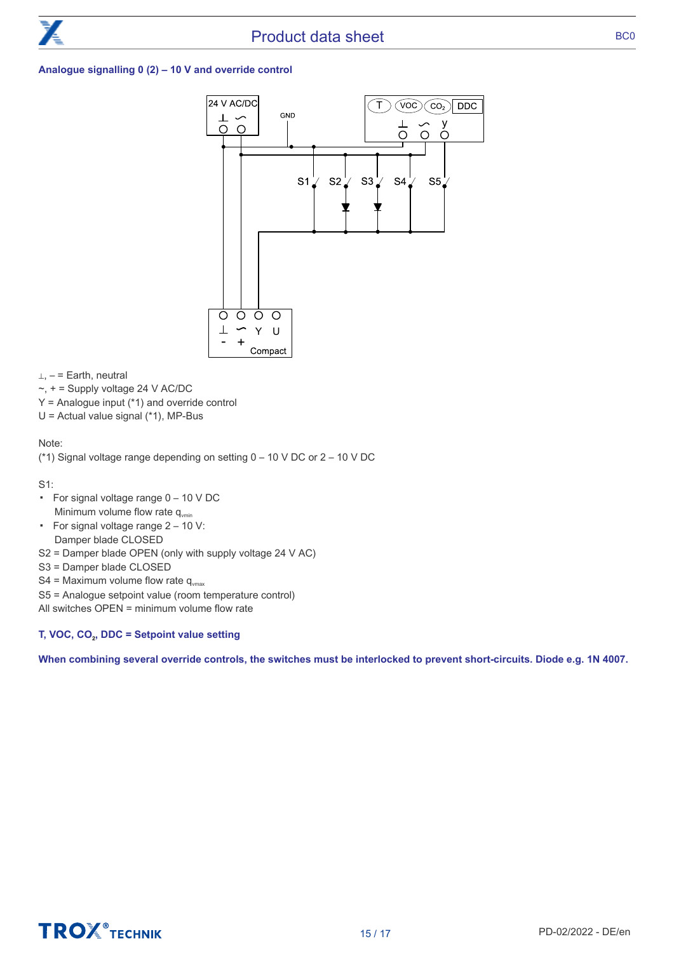# **Analogue signalling 0 (2) – 10 V and override control**



 $\perp$ , – = Earth, neutral

 $\sim$ ,  $+$  = Supply voltage 24 V AC/DC

- $Y =$  Analogue input  $(*1)$  and override control
- U = Actual value signal (\*1), MP-Bus

# Note:

(\*1) Signal voltage range depending on setting 0 – 10 V DC or 2 – 10 V DC

S1:

- For signal voltage range 0 10 V DC Minimum volume flow rate  $q_{\text{win}}$
- For signal voltage range 2 10 V: Damper blade CLOSED
- S2 = Damper blade OPEN (only with supply voltage 24 V AC)
- S3 = Damper blade CLOSED
- S4 = Maximum volume flow rate  $q_{\text{max}}$
- S5 = Analogue setpoint value (room temperature control)
- All switches OPEN = minimum volume flow rate

# **T, VOC, CO**<sup>2</sup> **, DDC = Setpoint value setting**

**When combining several override controls, the switches must be interlocked to prevent short-circuits. Diode e.g. 1N 4007.**

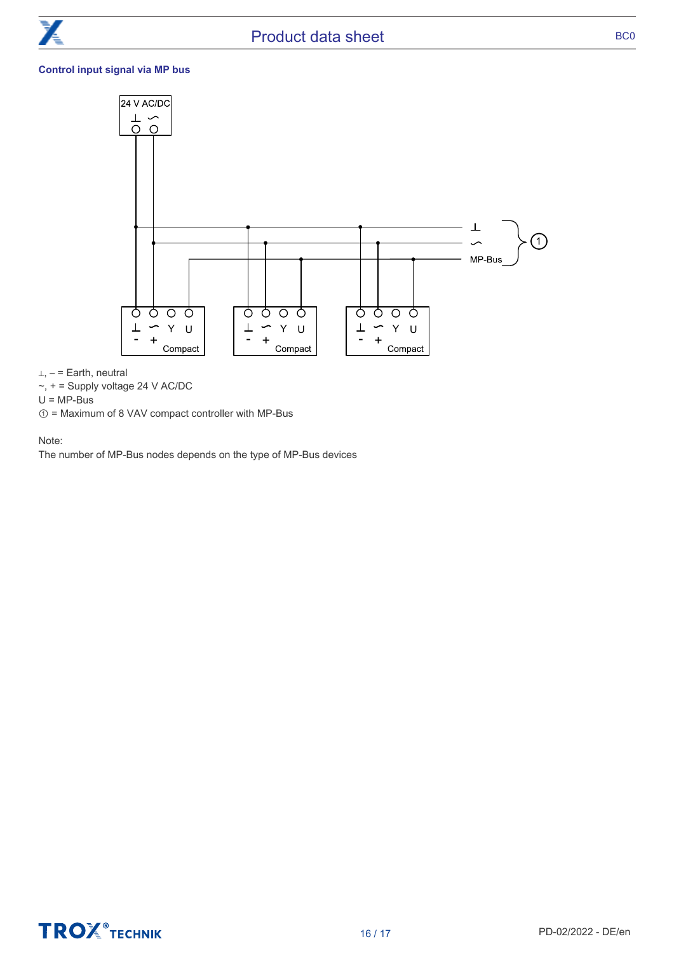# **Control input signal via MP bus**



⊥, – = Earth, neutral

 $\sim$ ,  $+$  = Supply voltage 24 V AC/DC

 $U = MP-Bus$ 

① = Maximum of 8 VAV compact controller with MP-Bus

Note:

The number of MP-Bus nodes depends on the type of MP-Bus devices